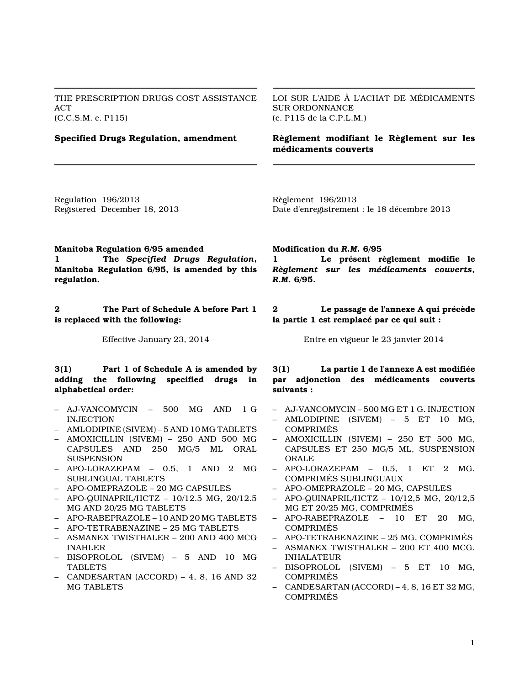THE PRESCRIPTION DRUGS COST ASSISTANCE ACT (C.C.S.M. c. P115)

LOI SUR L'AIDE À L'ACHAT DE MÉDICAMENTS SUR ORDONNANCE (c. P115 de la C.P.L.M.)

# **Specified Drugs Regulation, amendment**

**Règlement modifiant le Règlement sur les médicaments couverts**

Regulation 196/2013 Registered December 18, 2013 Règlement 196/2013 Date d'enregistrement : le 18 décembre 2013

#### **Manitoba Regulation 6/95 amended**

**1 The** *Specified Drugs Regulation***, Manitoba Regulation 6/95, is amended by this regulation.**

**2 The Part of Schedule A before Part 1 is replaced with the following:**

### **3(1) Part 1 of Schedule A is amended by adding the following specified drugs in alphabetical order:**

- AJ-VANCOMYCIN 500 MG AND 1 G INJECTION
- AMLODIPINE (SIVEM) 5 AND 10 MG TABLETS
- AMOXICILLIN (SIVEM) 250 AND 500 MG CAPSULES AND 250 MG/5 ML ORAL SUSPENSION
- APO-LORAZEPAM 0.5, 1 AND 2 MG SUBLINGUAL TABLETS
- APO-OMEPRAZOLE 20 MG CAPSULES
- APO-QUINAPRIL/HCTZ 10/12.5 MG, 20/12.5 MG AND 20/25 MG TABLETS
- APO-RABEPRAZOLE 10 AND 20 MG TABLETS
- APO-TETRABENAZINE 25 MG TABLETS
- ASMANEX TWISTHALER 200 AND 400 MCG INAHLER
- BISOPROLOL (SIVEM) 5 AND 10 MG TABLETS
- CANDESARTAN (ACCORD) 4, 8, 16 AND 32 MG TABLETS

#### **Modification du** *R.M.* **6/95**

**1 Le présent règlement modifie le** *Règlement sur les médicaments couverts***,** *R.M.* **6/95.**

## **2 Le passage de l'annexe A qui précède la partie 1 est remplacé par ce qui suit :**

Effective January 23, 2014 Entre en vigueur le 23 janvier 2014

## **3(1) La partie 1 de l'annexe A est modifiée par adjonction des médicaments couverts suivants :**

- AJ-VANCOMYCIN 500 MG ET 1 G. INJECTION
- AMLODIPINE (SIVEM) 5 ET 10 MG, COMPRIMÉS
- AMOXICILLIN (SIVEM) 250 ET 500 MG, CAPSULES ET 250 MG/5 ML, SUSPENSION ORALE
- APO-LORAZEPAM 0,5, 1 ET 2 MG, COMPRIMÉS SUBLINGUAUX
- APO-OMEPRAZOLE 20 MG, CAPSULES
- APO-QUINAPRIL/HCTZ 10/12,5 MG, 20/12,5 MG ET 20/25 MG, COMPRIMÉS
- APO-RABEPRAZOLE 10 ET 20 MG, COMPRIMÉS
- APO-TETRABENAZINE 25 MG, COMPRIMÉS
- ASMANEX TWISTHALER 200 ET 400 MCG, INHALATEUR
- BISOPROLOL (SIVEM) 5 ET 10 MG, COMPRIMÉS
- $-$  CANDESARTAN (ACCORD) 4, 8, 16 ET 32 MG, COMPRIMÉS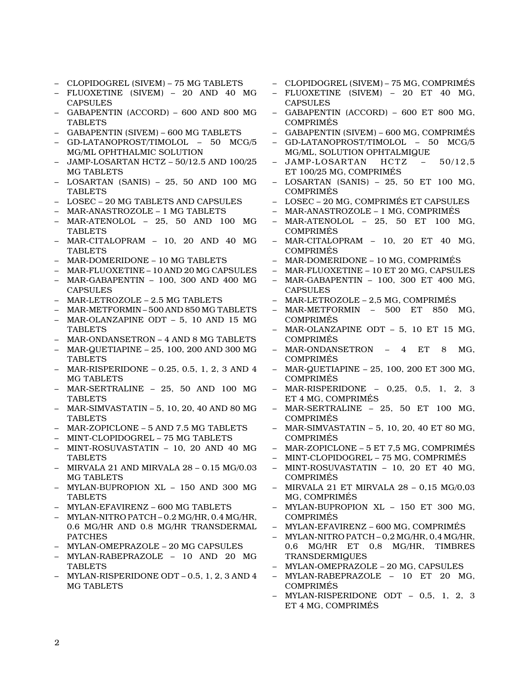- CLOPIDOGREL (SIVEM) 75 MG TABLETS
- FLUOXETINE (SIVEM) 20 AND 40 MG CAPSULES
- GABAPENTIN (ACCORD) 600 AND 800 MG TABLETS
- GABAPENTIN (SIVEM) 600 MG TABLETS
- GD-LATANOPROST/TIMOLOL 50 MCG/5 MG/ML OPHTHALMIC SOLUTION
- JAMP-LOSARTAN HCTZ 50/12.5 AND 100/25 MG TABLETS
- LOSARTAN (SANIS) 25, 50 AND 100 MG TABLETS
- LOSEC 20 MG TABLETS AND CAPSULES
- MAR-ANASTROZOLE 1 MG TABLETS
- MAR-ATENOLOL 25, 50 AND 100 MG TABLETS
- MAR-CITALOPRAM 10, 20 AND 40 MG TABLETS
- MAR-DOMERIDONE 10 MG TABLETS
- MAR-FLUOXETINE 10 AND 20 MG CAPSULES
- MAR-GABAPENTIN 100, 300 AND 400 MG CAPSULES
- MAR-LETROZOLE 2.5 MG TABLETS
- MAR-METFORMIN 500 AND 850 MG TABLETS
- MAR-OLANZAPINE ODT 5, 10 AND 15 MG TABLETS
- MAR-ONDANSETRON 4 AND 8 MG TABLETS
- MAR-QUETIAPINE 25, 100, 200 AND 300 MG **TABLETS**
- MAR-RISPERIDONE 0.25, 0.5, 1, 2, 3 AND 4 MG TABLETS
- MAR-SERTRALINE 25, 50 AND 100 MG TABLETS
- MAR-SIMVASTATIN 5, 10, 20, 40 AND 80 MG TABLETS
- MAR-ZOPICLONE 5 AND 7.5 MG TABLETS
- MINT-CLOPIDOGREL 75 MG TABLETS
- MINT-ROSUVASTATIN 10, 20 AND 40 MG TABLETS
- MIRVALA 21 AND MIRVALA 28 0.15 MG/0.03 MG TABLETS
- MYLAN-BUPROPION XL 150 AND 300 MG TABLETS
- MYLAN-EFAVIRENZ 600 MG TABLETS
- MYLAN-NITRO PATCH 0.2 MG/HR, 0.4 MG/HR, 0.6 MG/HR AND 0.8 MG/HR TRANSDERMAL PATCHES
- MYLAN-OMEPRAZOLE 20 MG CAPSULES
- MYLAN-RABEPRAZOLE 10 AND 20 MG TABLETS
- MYLAN-RISPERIDONE ODT 0.5, 1, 2, 3 AND 4 MG TABLETS
- CLOPIDOGREL (SIVEM) 75 MG, COMPRIMÉS
- FLUOXETINE (SIVEM) 20 ET 40 MG, CAPSULES
- GABAPENTIN (ACCORD) 600 ET 800 MG, COMPRIMÉS
- GABAPENTIN (SIVEM) 600 MG, COMPRIMÉS
- GD-LATANOPROST/TIMOLOL 50 MCG/5 MG/ML, SOLUTION OPHTALMIQUE
- JAMP-LOSARTAN HCTZ 50/12,5 ET 100/25 MG, COMPRIMÉS
- LOSARTAN (SANIS) 25, 50 ET 100 MG, COMPRIMÉS
- LOSEC 20 MG, COMPRIMÉS ET CAPSULES
- MAR-ANASTROZOLE 1 MG, COMPRIMÉS
- MAR-ATENOLOL 25, 50 ET 100 MG, COMPRIMÉS
- MAR-CITALOPRAM 10, 20 ET 40 MG, COMPRIMÉS
- MAR-DOMERIDONE 10 MG, COMPRIMÉS
- MAR-FLUOXETINE 10 ET 20 MG, CAPSULES
- MAR-GABAPENTIN 100, 300 ET 400 MG, CAPSULES
- MAR-LETROZOLE 2,5 MG, COMPRIMÉS
- MAR-METFORMIN 500 ET 850 MG, COMPRIMÉS
- MAR-OLANZAPINE ODT 5, 10 ET 15 MG, COMPRIMÉS
- MAR-ONDANSETRON 4 ET 8 MG, COMPRIMÉS
- MAR-QUETIAPINE 25, 100, 200 ET 300 MG, COMPRIMÉS
- MAR-RISPERIDONE 0,25, 0,5, 1, 2, 3 ET 4 MG, COMPRIMÉS
- MAR-SERTRALINE 25, 50 ET 100 MG, COMPRIMÉS
- MAR-SIMVASTATIN 5, 10, 20, 40 ET 80 MG, COMPRIMÉS
- MAR-ZOPICLONE 5 ET 7,5 MG, COMPRIMÉS
- MINT-CLOPIDOGREL 75 MG, COMPRIMÉS
- MINT-ROSUVASTATIN 10, 20 ET 40 MG, COMPRIMÉS
- MIRVALA 21 ET MIRVALA 28 0,15 MG/0,03 MG, COMPRIMÉS
- MYLAN-BUPROPION XL 150 ET 300 MG, COMPRIMÉS
- MYLAN-EFAVIRENZ 600 MG, COMPRIMÉS
- MYLAN-NITRO PATCH 0,2 MG/HR, 0,4 MG/HR, 0,6 MG/HR ET 0,8 MG/HR, TIMBRES TRANSDERMIQUES
- MYLAN-OMEPRAZOLE 20 MG, CAPSULES
- MYLAN-RABEPRAZOLE 10 ET 20 MG, COMPRIMÉS
- MYLAN-RISPERIDONE ODT 0,5, 1, 2, 3 ET 4 MG, COMPRIMÉS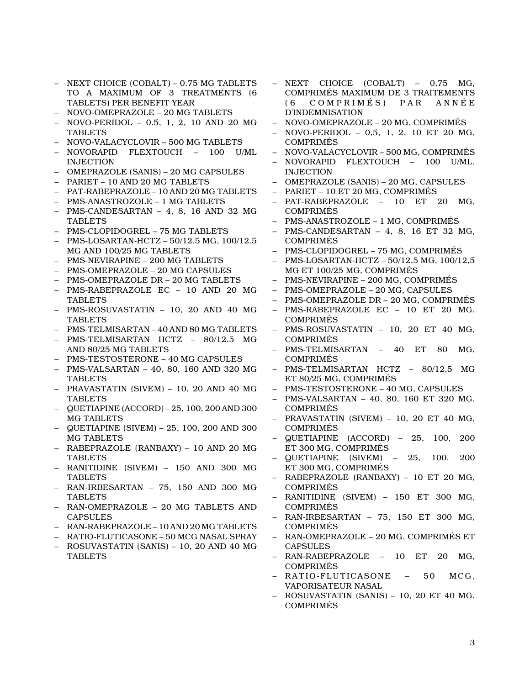- NEXT CHOICE (COBALT) 0.75 MG TABLETS TO A MAXIMUM OF 3 TREATMENTS (6 TABLETS) PER BENEFIT YEAR
- NOVO-OMEPRAZOLE 20 MG TABLETS
- NOVO-PERIDOL 0.5, 1, 2, 10 AND 20 MG TABLETS
- NOVO-VALACYCLOVIR 500 MG TABLETS
- NOVORAPID FLEXTOUCH 100 U/ML INJECTION
- OMEPRAZOLE (SANIS) 20 MG CAPSULES
- PARIET 10 AND 20 MG TABLETS
- PAT-RABEPRAZOLE 10 AND 20 MG TABLETS
- PMS-ANASTROZOLE 1 MG TABLETS
- PMS-CANDESARTAN 4, 8, 16 AND 32 MG TABLETS
- PMS-CLOPIDOGREL 75 MG TABLETS
- PMS-LOSARTAN-HCTZ 50/12.5 MG, 100/12.5 MG AND 100/25 MG TABLETS
- PMS-NEVIRAPINE 200 MG TABLETS
- PMS-OMEPRAZOLE 20 MG CAPSULES
- PMS-OMEPRAZOLE DR 20 MG TABLETS
- PMS-RABEPRAZOLE EC 10 AND 20 MG **TABLETS**
- PMS-ROSUVASTATIN 10, 20 AND 40 MG TABLETS
- PMS-TELMISARTAN 40 AND 80 MG TABLETS
- PMS-TELMISARTAN HCTZ 80/12.5 MG AND 80/25 MG TABLETS
- PMS-TESTOSTERONE 40 MG CAPSULES
- PMS-VALSARTAN 40, 80, 160 AND 320 MG TABLETS
- PRAVASTATIN (SIVEM) 10, 20 AND 40 MG TABLETS
- QUETIAPINE (ACCORD) 25, 100, 200 AND 300 MG TABLETS
- QUETIAPINE (SIVEM) 25, 100, 200 AND 300 MG TABLETS
- RABEPRAZOLE (RANBAXY) 10 AND 20 MG TABLETS
- RANITIDINE (SIVEM) 150 AND 300 MG **TABLETS**
- RAN-IRBESARTAN 75, 150 AND 300 MG TABLETS
- RAN-OMEPRAZOLE 20 MG TABLETS AND CAPSULES
- RAN-RABEPRAZOLE 10 AND 20 MG TABLETS
- RATIO-FLUTICASONE 50 MCG NASAL SPRAY
- ROSUVASTATIN (SANIS) 10, 20 AND 40 MG TABLETS
- NEXT CHOICE (COBALT) 0,75 MG, COMPRIMÉS MAXIMUM DE 3 TRAITEMENTS ( 6 C O M P R I M É S ) P A R A N N É E D'INDEMNISATION
- NOVO-OMEPRAZOLE 20 MG, COMPRIMÉS
- NOVO-PERIDOL 0,5, 1, 2, 10 ET 20 MG, COMPRIMÉS
- NOVO-VALACYCLOVIR 500 MG, COMPRIMÉS
- NOVORAPID FLEXTOUCH 100 U/ML, INJECTION
- OMEPRAZOLE (SANIS) 20 MG, CAPSULES
- PARIET 10 ET 20 MG, COMPRIMÉS
- PAT-RABEPRAZOLE 10 ET 20 MG, COMPRIMÉS
- PMS-ANASTROZOLE 1 MG, COMPRIMÉS
- $-$  PMS-CANDESARTAN  $-$  4, 8, 16 ET 32 MG, COMPRIMÉS
- PMS-CLOPIDOGREL 75 MG, COMPRIMÉS
- PMS-LOSARTAN-HCTZ 50/12,5 MG, 100/12,5 MG ET 100/25 MG, COMPRIMÉS
- PMS-NEVIRAPINE 200 MG, COMPRIMÉS
- PMS-OMEPRAZOLE 20 MG, CAPSULES
- PMS-OMEPRAZOLE DR 20 MG, COMPRIMÉS
- PMS-RABEPRAZOLE EC 10 ET 20 MG, COMPRIMÉS
- PMS-ROSUVASTATIN 10, 20 ET 40 MG, COMPRIMÉS
- PMS-TELMISARTAN 40 ET 80 MG, COMPRIMÉS
- PMS-TELMISARTAN HCTZ 80/12,5 MG ET 80/25 MG, COMPRIMÉS
- PMS-TESTOSTERONE 40 MG, CAPSULES
- PMS-VALSARTAN 40, 80, 160 ET 320 MG, COMPRIMÉS
- PRAVASTATIN (SIVEM) 10, 20 ET 40 MG, COMPRIMÉS
- QUETIAPINE (ACCORD) 25, 100, 200 ET 300 MG, COMPRIMÉS
- QUETIAPINE (SIVEM) 25, 100, 200 ET 300 MG, COMPRIMÉS
- RABEPRAZOLE (RANBAXY) 10 ET 20 MG, COMPRIMÉS
- RANITIDINE (SIVEM) 150 ET 300 MG, COMPRIMÉS
- RAN-IRBESARTAN 75, 150 ET 300 MG, COMPRIMÉS
- RAN-OMEPRAZOLE 20 MG, COMPRIMÉS ET **CAPSULES**
- RAN-RABEPRAZOLE 10 ET 20 MG, COMPRIMÉS
- RATIO-FLUTICASONE 50 MCG, VAPORISATEUR NASAL
- ROSUVASTATIN (SANIS) 10, 20 ET 40 MG, COMPRIMÉS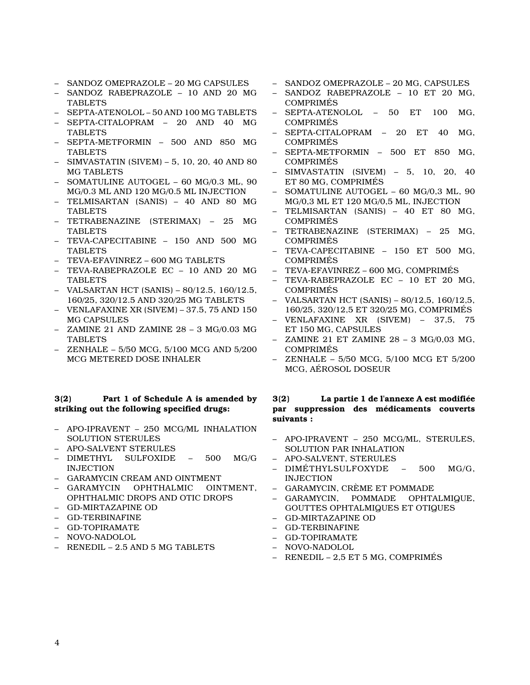- SANDOZ OMEPRAZOLE 20 MG CAPSULES
- SANDOZ RABEPRAZOLE 10 AND 20 MG **TABLETS**
- SEPTA-ATENOLOL 50 AND 100 MG TABLETS
- SEPTA-CITALOPRAM 20 AND 40 MG TABLETS
- SEPTA-METFORMIN 500 AND 850 MG TABLETS
- SIMVASTATIN (SIVEM) 5, 10, 20, 40 AND 80 MG TABLETS
- SOMATULINE AUTOGEL 60 MG/0.3 ML, 90 MG/0.3 ML AND 120 MG/0.5 ML INJECTION
- TELMISARTAN (SANIS) 40 AND 80 MG **TABLETS**
- TETRABENAZINE (STERIMAX) 25 MG TABLETS
- TEVA-CAPECITABINE 150 AND 500 MG TABLETS
- TEVA-EFAVINREZ 600 MG TABLETS
- TEVA-RABEPRAZOLE EC 10 AND 20 MG TABLETS
- VALSARTAN HCT (SANIS) 80/12.5, 160/12.5, 160/25, 320/12.5 AND 320/25 MG TABLETS
- VENLAFAXINE XR (SIVEM) 37.5, 75 AND 150 MG CAPSULES
- ZAMINE 21 AND ZAMINE 28 3 MG/0.03 MG TABLETS
- ZENHALE 5/50 MCG, 5/100 MCG AND 5/200 MCG METERED DOSE INHALER

## **3(2) Part 1 of Schedule A is amended by striking out the following specified drugs:**

- APO-IPRAVENT 250 MCG/ML INHALATION SOLUTION STERULES
- APO-SALVENT STERULES
- DIMETHYL SULFOXIDE 500 MG/G INJECTION
- GARAMYCIN CREAM AND OINTMENT
- GARAMYCIN OPHTHALMIC OINTMENT, OPHTHALMIC DROPS AND OTIC DROPS
- GD-MIRTAZAPINE OD
- GD-TERBINAFINE
- GD-TOPIRAMATE
- NOVO-NADOLOL
- RENEDIL 2.5 AND 5 MG TABLETS
- SANDOZ OMEPRAZOLE 20 MG, CAPSULES
- SANDOZ RABEPRAZOLE 10 ET 20 MG, COMPRIMÉS
- SEPTA-ATENOLOL 50 ET 100 MG, COMPRIMÉS
- SEPTA-CITALOPRAM 20 ET 40 MG, COMPRIMÉS
- SEPTA-METFORMIN 500 ET 850 MG, COMPRIMÉS
- SIMVASTATIN (SIVEM) 5, 10, 20, 40 ET 80 MG, COMPRIMÉS
- SOMATULINE AUTOGEL 60 MG/0,3 ML, 90 MG/0,3 ML ET 120 MG/0,5 ML, INJECTION
- TELMISARTAN (SANIS) 40 ET 80 MG, COMPRIMÉS
- TETRABENAZINE (STERIMAX) 25 MG, COMPRIMÉS
- TEVA-CAPECITABINE 150 ET 500 MG, COMPRIMÉS
- TEVA-EFAVINREZ 600 MG, COMPRIMÉS
- TEVA-RABEPRAZOLE EC 10 ET 20 MG, COMPRIMÉS
- VALSARTAN HCT (SANIS) 80/12,5, 160/12,5, 160/25, 320/12,5 ET 320/25 MG, COMPRIMÉS
- VENLAFAXINE XR (SIVEM) 37,5, 75 ET 150 MG, CAPSULES
- ZAMINE 21 ET ZAMINE 28 3 MG/0,03 MG, COMPRIMÉS
- ZENHALE 5/50 MCG, 5/100 MCG ET 5/200 MCG, AÉROSOL DOSEUR

## **3(2) La partie 1 de l'annexe A est modifiée par suppression des médicaments couverts suivants :**

- APO-IPRAVENT 250 MCG/ML, STERULES, SOLUTION PAR INHALATION
- APO-SALVENT, STERULES
- DIMÉTHYLSULFOXYDE 500 MG/G, INJECTION
- GARAMYCIN, CRÈME ET POMMADE
- GARAMYCIN, POMMADE OPHTALMIQUE, GOUTTES OPHTALMIQUES ET OTIQUES
- GD-MIRTAZAPINE OD
- GD-TERBINAFINE
- GD-TOPIRAMATE
- NOVO-NADOLOL
- RENEDIL 2,5 ET 5 MG, COMPRIMÉS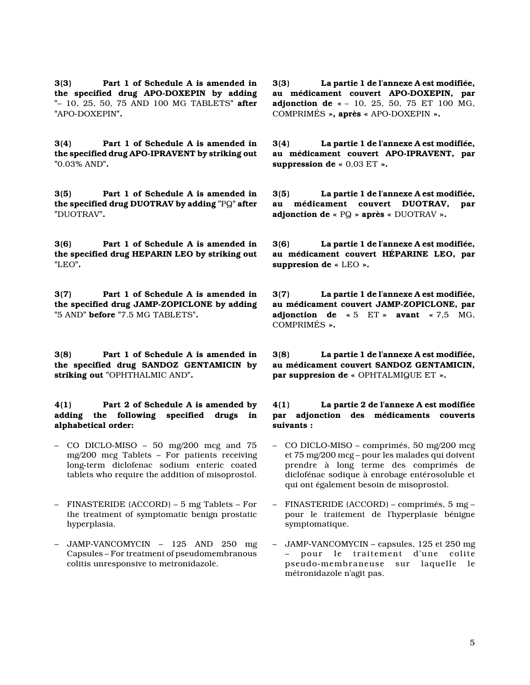**3(3) Part 1 of Schedule A is amended in the specified drug APO-DOXEPIN by adding "**– 10, 25, 50, 75 AND 100 MG TABLETS**" after "**APO-DOXEPIN**".**

**3(4) Part 1 of Schedule A is amended in the specified drug APO-IPRAVENT by striking out "**0.03% AND**".**

**3(5) Part 1 of Schedule A is amended in the specified drug DUOTRAV by adding "**PQ**" after "**DUOTRAV**".**

**3(6) Part 1 of Schedule A is amended in the specified drug HEPARIN LEO by striking out "**LEO**".**

**3(7) Part 1 of Schedule A is amended in the specified drug JAMP-ZOPICLONE by adding "**5 AND**" before "**7.5 MG TABLETS**".**

**3(8) Part 1 of Schedule A is amended in the specified drug SANDOZ GENTAMICIN by striking out "**OPHTHALMIC AND**".**

#### **4(1) Part 2 of Schedule A is amended by adding the following specified drugs in alphabetical order:**

- CO DICLO-MISO 50 mg/200 mcg and 75 mg/200 mcg Tablets – For patients receiving long-term diclofenac sodium enteric coated tablets who require the addition of misoprostol.
- FINASTERIDE (ACCORD) 5 mg Tablets For the treatment of symptomatic benign prostatic hyperplasia.
- JAMP-VANCOMYCIN 125 AND 250 mg Capsules – For treatment of pseudomembranous colitis unresponsive to metronidazole.

**3(3) La partie 1 de l'annexe A est modifiée, au médicament couvert APO-DOXEPIN, par adjonction de «** – 10, 25, 50, 75 ET 100 MG, COMPRIMÉS **», après «** APO-DOXEPIN **».**

**3(4) La partie 1 de l'annexe A est modifiée, au médicament couvert APO-IPRAVENT, par suppression de «** 0,03 ET **».**

**3(5) La partie 1 de l'annexe A est modifiée, au médicament couvert DUOTRAV, par adjonction de «** PQ **» après «** DUOTRAV **».**

**3(6) La partie 1 de l'annexe A est modifiée, au médicament couvert HÉPARINE LEO, par suppresion de «** LEO **».**

**3(7) La partie 1 de l'annexe A est modifiée, au médicament couvert JAMP-ZOPICLONE, par adjonction de «** 5 ET **» avant «** 7,5 MG, COMPRIMÉS **».**

**3(8) La partie 1 de l'annexe A est modifiée, au médicament couvert SANDOZ GENTAMICIN, par suppresion de «** OPHTALMIQUE ET **».**

## **4(1) La partie 2 de l'annexe A est modifiée par adjonction des médicaments couverts suivants :**

- CO DICLO-MISO comprimés, 50 mg/200 mcg et 75 mg/200 mcg – pour les malades qui doivent prendre à long terme des comprimés de diclofénac sodique à enrobage entérosoluble et qui ont également besoin de misoprostol.
- FINASTERIDE (ACCORD) comprimés, 5 mg pour le traitement de l'hyperplasie bénigne symptomatique.
- JAMP-VANCOMYCIN capsules, 125 et 250 mg – pour le traitement d'une colite pseudo-membraneuse sur laquelle le métronidazole n'agit pas.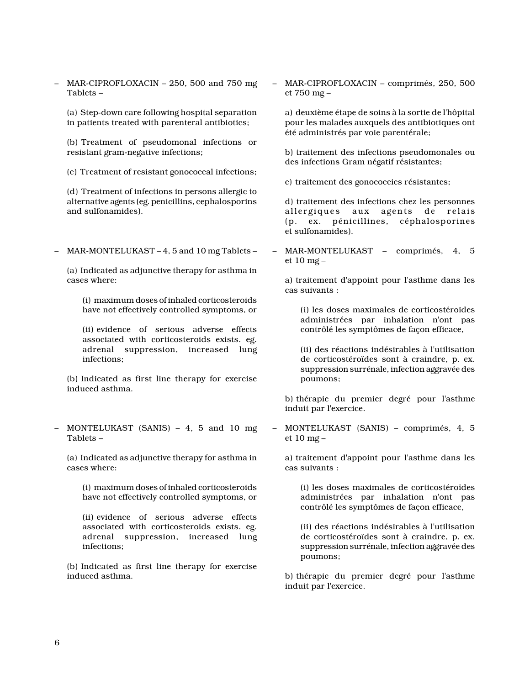– MAR-CIPROFLOXACIN – 250, 500 and 750 mg Tablets –

(a) Step-down care following hospital separation in patients treated with parenteral antibiotics;

(b) Treatment of pseudomonal infections or resistant gram-negative infections;

(c) Treatment of resistant gonococcal infections;

(d) Treatment of infections in persons allergic to alternative agents (eg. penicillins, cephalosporins and sulfonamides).

– MAR-MONTELUKAST – 4, 5 and 10 mg Tablets –

(a) Indicated as adjunctive therapy for asthma in cases where:

(i) maximum doses of inhaled corticosteroids have not effectively controlled symptoms, or

(ii) evidence of serious adverse effects associated with corticosteroids exists. eg. adrenal suppression, increased lung infections;

(b) Indicated as first line therapy for exercise induced asthma.

– MONTELUKAST (SANIS) – 4, 5 and 10 mg Tablets –

(a) Indicated as adjunctive therapy for asthma in cases where:

(i) maximum doses of inhaled corticosteroids have not effectively controlled symptoms, or

(ii) evidence of serious adverse effects associated with corticosteroids exists. eg. adrenal suppression, increased lung infections;

(b) Indicated as first line therapy for exercise induced asthma.

– MAR-CIPROFLOXACIN – comprimés, 250, 500 et 750 mg –

a) deuxième étape de soins à la sortie de l'hôpital pour les malades auxquels des antibiotiques ont été administrés par voie parentérale;

b) traitement des infections pseudomonales ou des infections Gram négatif résistantes;

c) traitement des gonococcies résistantes;

d) traitement des infections chez les personnes allergiques aux agents de relais (p. ex. pénicillines, céphalosporines et sulfonamides).

– MAR-MONTELUKAST – comprimés, 4, 5 et 10 mg –

a) traitement d'appoint pour l'asthme dans les cas suivants :

(i) les doses maximales de corticostéroïdes administrées par inhalation n'ont pas contrôlé les symptômes de façon efficace,

(ii) des réactions indésirables à l'utilisation de corticostéroïdes sont à craindre, p. ex. suppression surrénale, infection aggravée des poumons;

b) thérapie du premier degré pour l'asthme induit par l'exercice.

– MONTELUKAST (SANIS) – comprimés, 4, 5 et 10 mg –

a) traitement d'appoint pour l'asthme dans les cas suivants :

(i) les doses maximales de corticostéroïdes administrées par inhalation n'ont pas contrôlé les symptômes de façon efficace,

(ii) des réactions indésirables à l'utilisation de corticostéroïdes sont à craindre, p. ex. suppression surrénale, infection aggravée des poumons;

b) thérapie du premier degré pour l'asthme induit par l'exercice.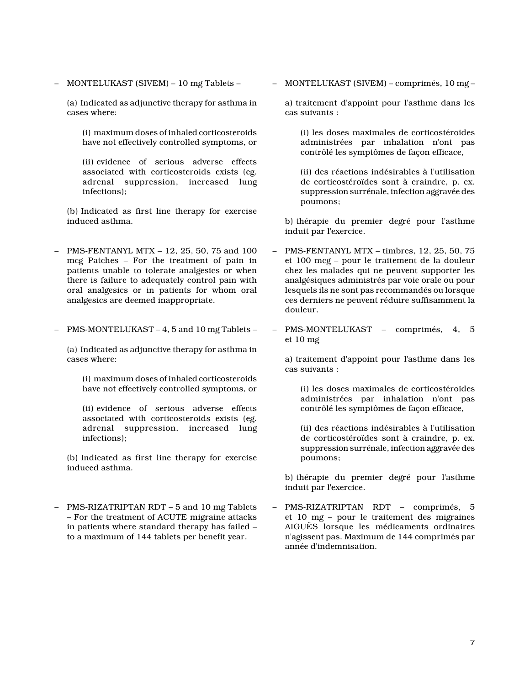– MONTELUKAST (SIVEM) – 10 mg Tablets –

(a) Indicated as adjunctive therapy for asthma in cases where:

(i) maximum doses of inhaled corticosteroids have not effectively controlled symptoms, or

(ii) evidence of serious adverse effects associated with corticosteroids exists (eg. adrenal suppression, increased lung infections);

(b) Indicated as first line therapy for exercise induced asthma.

– PMS-FENTANYL MTX – 12, 25, 50, 75 and 100 mcg Patches – For the treatment of pain in patients unable to tolerate analgesics or when there is failure to adequately control pain with oral analgesics or in patients for whom oral analgesics are deemed inappropriate.

– PMS-MONTELUKAST – 4, 5 and 10 mg Tablets –

(a) Indicated as adjunctive therapy for asthma in cases where:

(i) maximum doses of inhaled corticosteroids have not effectively controlled symptoms, or

(ii) evidence of serious adverse effects associated with corticosteroids exists (eg. adrenal suppression, increased lung infections);

(b) Indicated as first line therapy for exercise induced asthma.

– PMS-RIZATRIPTAN RDT – 5 and 10 mg Tablets – For the treatment of ACUTE migraine attacks in patients where standard therapy has failed – to a maximum of 144 tablets per benefit year.

– MONTELUKAST (SIVEM) – comprimés, 10 mg –

a) traitement d'appoint pour l'asthme dans les cas suivants :

(i) les doses maximales de corticostéroïdes administrées par inhalation n'ont pas contrôlé les symptômes de façon efficace,

(ii) des réactions indésirables à l'utilisation de corticostéroïdes sont à craindre, p. ex. suppression surrénale, infection aggravée des poumons;

b) thérapie du premier degré pour l'asthme induit par l'exercice.

- PMS-FENTANYL MTX timbres, 12, 25, 50, 75 et 100 mcg – pour le traitement de la douleur chez les malades qui ne peuvent supporter les analgésiques administrés par voie orale ou pour lesquels ils ne sont pas recommandés ou lorsque ces derniers ne peuvent réduire suffisamment la douleur.
- PMS-MONTELUKAST comprimés, 4, 5 et 10 mg

a) traitement d'appoint pour l'asthme dans les cas suivants :

(i) les doses maximales de corticostéroïdes administrées par inhalation n'ont pas contrôlé les symptômes de façon efficace,

(ii) des réactions indésirables à l'utilisation de corticostéroïdes sont à craindre, p. ex. suppression surrénale, infection aggravée des poumons;

b) thérapie du premier degré pour l'asthme induit par l'exercice.

– PMS-RIZATRIPTAN RDT – comprimés, 5 et 10 mg – pour le traitement des migraines AIGUËS lorsque les médicaments ordinaires n'agissent pas. Maximum de 144 comprimés par année d'indemnisation.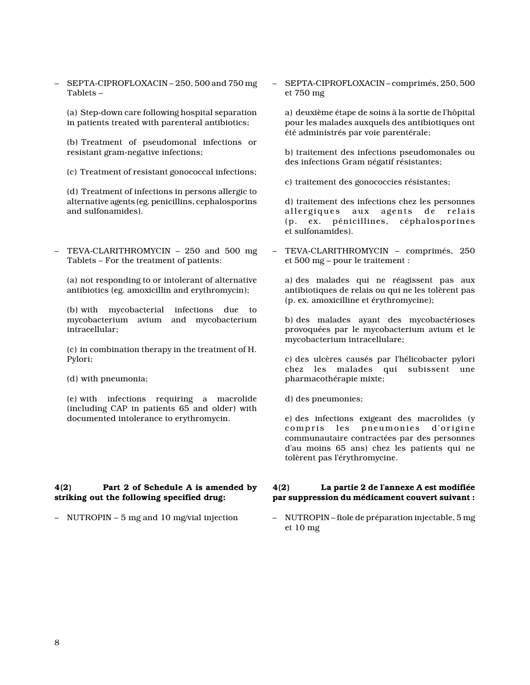– SEPTA-CIPROFLOXACIN – 250, 500 and 750 mg Tablets –

(a) Step-down care following hospital separation in patients treated with parenteral antibiotics;

(b) Treatment of pseudomonal infections or resistant gram-negative infections;

(c) Treatment of resistant gonococcal infections;

(d) Treatment of infections in persons allergic to alternative agents (eg. penicillins, cephalosporins and sulfonamides).

– TEVA-CLARITHROMYCIN – 250 and 500 mg Tablets – For the treatment of patients:

(a) not responding to or intolerant of alternative antibiotics (eg. amoxicillin and erythromycin);

(b) with mycobacterial infections due to mycobacterium avium and mycobacterium intracellular;

(c) in combination therapy in the treatment of H. Pylori;

(d) with pneumonia;

(e) with infections requiring a macrolide (including CAP in patients 65 and older) with documented intolerance to erythromycin.

## **4(2) Part 2 of Schedule A is amended by striking out the following specified drug:**

– NUTROPIN – 5 mg and 10 mg/vial injection

– SEPTA-CIPROFLOXACIN – comprimés, 250, 500 et 750 mg

a) deuxième étape de soins à la sortie de l'hôpital pour les malades auxquels des antibiotiques ont été administrés par voie parentérale;

b) traitement des infections pseudomonales ou des infections Gram négatif résistantes;

c) traitement des gonococcies résistantes;

d) traitement des infections chez les personnes allergiques aux agents de relais (p. ex. pénicillines, céphalosporines et sulfonamides).

– TEVA-CLARITHROMYCIN – comprimés, 250 et 500 mg – pour le traitement :

a) des malades qui ne réagissent pas aux antibiotiques de relais ou qui ne les tolèrent pas (p. ex. amoxicilline et érythromycine);

b) des malades ayant des mycobactérioses provoquées par le mycobacterium avium et le mycobacterium intracellulare;

c) des ulcères causés par l'hélicobacter pylori chez les malades qui subissent une pharmacothérapie mixte;

d) des pneumonies;

e) des infections exigeant des macrolides (y compris les pneumonies d'origine communautaire contractées par des personnes d'au moins 65 ans) chez les patients qui ne tolèrent pas l'érythromycine.

## **4(2) La partie 2 de l'annexe A est modifiée par suppression du médicament couvert suivant :**

– NUTROPIN – fiole de préparation injectable, 5 mg et 10 mg